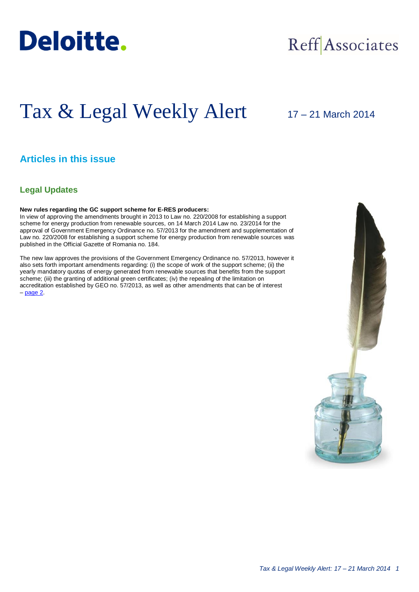

## Reff Associates

# Tax & Legal Weekly Alert

## 17 – 21 March 2014

## **Articles in this issue**

### **Legal Updates**

#### **New rules regarding the GC support scheme for E-RES producers:**

In view of approving the amendments brought in 2013 to Law no. 220/2008 for establishing a support scheme for energy production from renewable sources, on 14 March 2014 Law no. 23/2014 for the approval of Government Emergency Ordinance no. 57/2013 for the amendment and supplementation of Law no. 220/2008 for establishing a support scheme for energy production from renewable sources was published in the Official Gazette of Romania no. 184.

The new law approves the provisions of the Government Emergency Ordinance no. 57/2013, however it also sets forth important amendments regarding: (i) the scope of work of the support scheme; (ii) the yearly mandatory quotas of energy generated from renewable sources that benefits from the support scheme; (iii) the granting of additional green certificates; (iv) the repealing of the limitation on accreditation established by GEO no. 57/2013, as well as other amendments that can be of interest  $-$  [page 2.](#page-1-0)

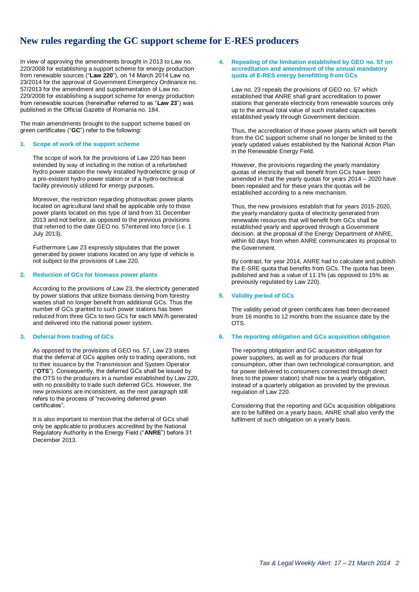## <span id="page-1-0"></span>**New rules regarding the GC support scheme for E-RES producers**

In view of approving the amendments brought in 2013 to Law no. 220/2008 for establishing a support scheme for energy production from renewable sources ("**Law 220**"), on 14 March 2014 Law no. 23/2014 for the approval of Government Emergency Ordinance no. 57/2013 for the amendment and supplementation of Law no. 220/2008 for establishing a support scheme for energy production from renewable sources (hereinafter referred to as "**Law 23**") was published in the Official Gazette of Romania no. 184.

The main amendments brought to the support scheme based on green certificates ("**GC**") refer to the following:

#### **1. Scope of work of the support scheme**

The scope of work for the provisions of Law 220 has been extended by way of including in the notion of a refurbished hydro power station the newly installed hydroelectric group of a pre-existent hydro power station or of a hydro-technical facility previously utilized for energy purposes.

Moreover, the restriction regarding photovoltaic power plants located on agricultural land shall be applicable only to those power plants located on this type of land from 31 December 2013 and not before, as opposed to the previous provisions that referred to the date GEO no. 57entered into force (i.e. 1 July 2013).

Furthermore Law 23 expressly stipulates that the power generated by power stations located on any type of vehicle is not subject to the provisions of Law 220.

#### **2. Reduction of GCs for biomass power plants**

According to the provisions of Law 23, the electricity generated by power stations that utilize biomass deriving from forestry wastes shall no longer benefit from additional GCs. Thus the number of GCs granted to such power stations has been reduced from three GCs to two GCs for each MW/h generated and delivered into the national power system.

#### **3. Deferral from trading of GCs**

As opposed to the provisions of GEO no. 57, Law 23 states that the deferral of GCs applies only to trading operations, not to their issuance by the Transmission and System Operator ("**OTS**"). Consequently, the deferred GCs shall be issued by the OTS to the producers in a number established by Law 220, with no possibility to trade such deferred GCs. However, the new provisions are inconsistent, as the next paragraph still refers to the process of "recovering deferred green certificates".

It is also important to mention that the deferral of GCs shall only be applicable to producers accredited by the National Regulatory Authority in the Energy Field ("**ANRE**") before 31 December 2013.

#### **4. Repealing of the limitation established by GEO no. 57 on accreditation and amendment of the annual mandatory quota of E-RES energy benefitting from GCs**

Law no. 23 repeals the provisions of GEO no. 57 which established that ANRE shall grant accreditation to power stations that generate electricity from renewable sources only up to the annual total value of such installed capacities established yearly through Government decision.

Thus, the accreditation of those power plants which will benefit from the GC support scheme shall no longer be limited to the yearly updated values established by the National Action Plan in the Renewable Energy Field.

However, the provisions regarding the yearly mandatory quotas of electricity that will benefit from GCs have been amended in that the yearly quotas for years 2014 – 2020 have been repealed and for these years the quotas will be established according to a new mechanism.

Thus, the new provisions establish that for years 2015-2020, the yearly mandatory quota of electricity generated from renewable resources that will benefit from GCs shall be established yearly and approved through a Government decision, at the proposal of the Energy Department of ANRE, within 60 days from when ANRE communicates its proposal to the Government.

By contrast, for year 2014, ANRE had to calculate and publish the E-SRE quota that benefits from GCs. The quota has been published and has a value of 11.1% (as opposed to 15% as previously regulated by Law 220).

#### **5. Validity period of GCs**

The validity period of green certificates has been decreased from 16 months to 12 months from the issuance date by the OTS.

#### **6. The reporting obligation and GCs acquisition obligation**

The reporting obligation and GC acquisition obligation for power suppliers, as well as for producers (for final consumption, other than own technological consumption, and for power delivered to consumers connected through direct lines to the power station) shall now be a yearly obligation, instead of a quarterly obligation as provided by the previous regulation of Law 220.

Considering that the reporting and GCs acquisition obligations are to be fulfilled on a yearly basis, ANRE shall also verify the fulfilment of such obligation on a yearly basis.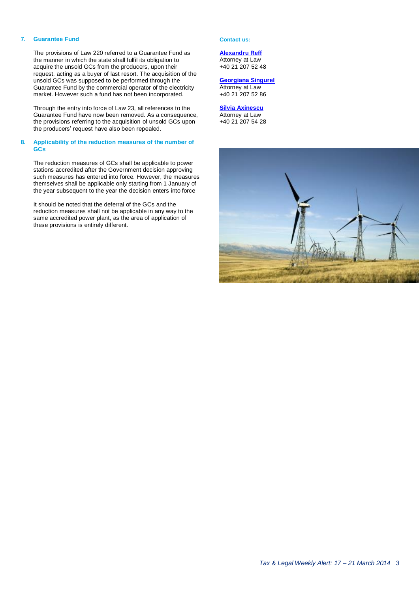#### **7. Guarantee Fund**

The provisions of Law 220 referred to a Guarantee Fund as the manner in which the state shall fulfil its obligation to acquire the unsold GCs from the producers, upon their request, acting as a buyer of last resort. The acquisition of the unsold GCs was supposed to be performed through the Guarantee Fund by the commercial operator of the electricity market. However such a fund has not been incorporated.

Through the entry into force of Law 23, all references to the Guarantee Fund have now been removed. As a consequence, the provisions referring to the acquisition of unsold GCs upon the producers' request have also been repealed.

#### **8. Applicability of the reduction measures of the number of GCs**

The reduction measures of GCs shall be applicable to power stations accredited after the Government decision approving such measures has entered into force. However, the measures themselves shall be applicable only starting from 1 January of the year subsequent to the year the decision enters into force

It should be noted that the deferral of the GCs and the reduction measures shall not be applicable in any way to the same accredited power plant, as the area of application of these provisions is entirely different.

#### **Contact us:**

**[Alexandru Reff](mailto:areff@deloitteCE.com)** Attorney at Law +40 21 207 52 48

#### **[Georgiana Singurel](mailto:gsingurel@deloitteCE.com)**

Attorney at Law +40 21 207 52 86

#### **[Silvia Axinescu](mailto:maxinescu@deloittece.com)** Attorney at Law +40 21 207 54 28